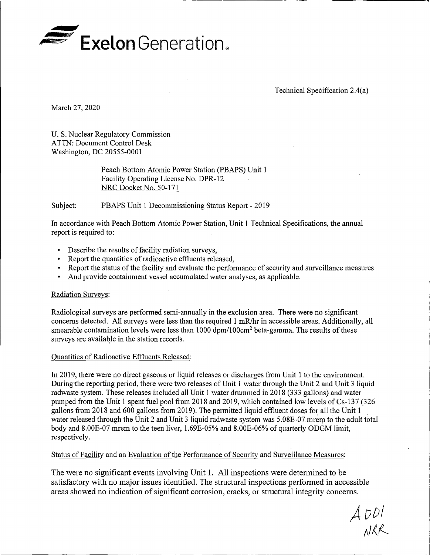

Technical Specification 2.4(a)

March 27, 2020

U. S. Nuclear Regulatory Commission ATTN: Document Control Desk Washington, DC 20555-0001

> Peach Bottom Atomic Power Station (PBAPS) Unit 1 Facility Operating License No. DPR-12 NRC Docket No. 50-171

Subject: PBAPS Unit 1 Decommissioning Status Report - 2019

In accordance with Peach Bottom Atomic Power Station, Unit 1 Technical Specifications, the annual report is required to:

- Describe the results of facility radiation surveys,
- Report the quantities of radioactive effluents released,
- Report the status of the facility and evaluate the performance of security and surveillance measures
- And provide containment vessel accumulated water analyses, as applicable.

## Radiation Surveys:

Radiological surveys are performed semi-annually in the exclusion area. There were no significant concerns detected. All surveys were less than the required 1 mR/hr in accessible areas. Additionally, all smearable contamination levels were less than 1000 dpm/100cm<sup>2</sup> beta-gamma. The results of these surveys are available in the station records.

## Quantities of Radioactive Effluents Released:

In 2019, there were no direct gaseous or liquid releases or discharges from Unit 1 to the environment. Duringthe reporting period, there were two releases of Unit 1 water through the Unit 2 and Unit 3 liquid radwaste system. These releases included all Unit 1 water drummed in 2018 (333 gallons) and water pumped from the Unit 1 spent fuel pool from 2018 and 2019, which contained low levels of Cs-137 (326 gallons from 2018 and 600 gallons from 2019). The permitted liquid effluent doses for all the Unit 1 water released through the Unit 2 and Unit 3 liquid radwaste system was 5.08E-07 mrem to the adult total body and 8.00E-07 mrem to the teen liver, 1.69E-05% and 8.00E-06% of quarterly ODOM limit, respectively.

Status of Facility and an Evaluation of the Performance of Security and Surveillance Measures:

The were no significant events involving Unit 1. All inspections were determined to be satisfactory with no major issues identified. The structural inspections performed in accessible areas showed no indication of significant corrosion, cracks, or structural integrity concerns.

 $A$   $D$  $D$  $I$